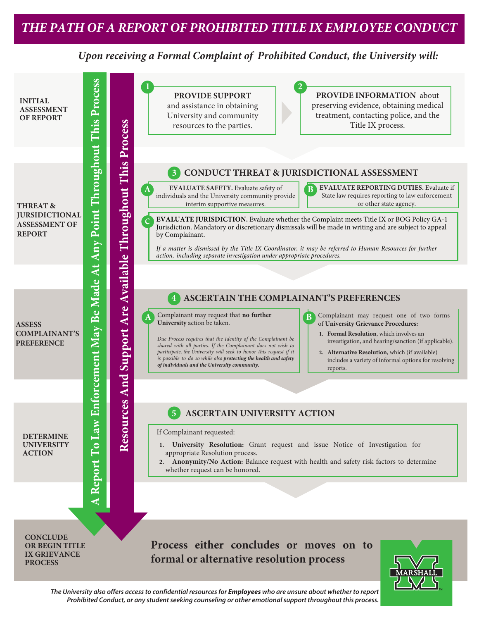## *Upon receiving a Formal Complaint of Prohibited Conduct, the University will:*

Report To Law Enforcement May Be Made At Any Point Throughout This Process **A Report To Law Enforcement May Be Made At Any Point Throughout This Process Resources And Support Are Available Throughout This Process 1 2 PROVIDE INFORMATION** about **PROVIDE SUPPORT INITIAL** preserving evidence, obtaining medical and assistance in obtaining **ASSESSMENT**  University and community treatment, contacting police, and the **OF REPORT**  Resources And Support Are Available Throughout This Process Title IX process. resources to the parties. **3 CONDUCT THREAT & JURISDICTIONAL ASSESSMENT A EVALUATE SAFETY.** Evaluate safety of **B EVALUATE REPORTING DUTIES.** Evaluate if **EVALUATE SAFETY.** Evaluate safety of **B** State law requires reporting to law enforcement individuals and the University community provide interim supportive measures. or other state agency. **THREAT & JURSIDICTIONAL**  c **EVALUATE JURISDICTION.** Evaluate whether the Complaint meets Title IX or BOG Policy GA-1 **ASSESSMENT OF**  Jurisdiction. Mandatory or discretionary dismissals will be made in writing and are subject to appeal **REPORT** by Complainant. *If a matter is dismissed by the Title IX Coordinator, it may be referred to Human Resources for further action, including separate investigation under appropriate procedures.***4 ASCERTAIN THE COMPLAINANT'S PREFERENCES** Complainant may request that **no further A** Complainant may request that **no further B** Complainant may request one of two forms **B University** action be taken. of **University Grievance Procedures: ASSESS COMPLAINANT'S 1. Formal Resolution**, which involves an *Due Process requires that the Identity of the Complainant be*  investigation, and hearing/sanction (if applicable). **PREFERENCE** *shared with all parties. If the Complainant does not wish to participate, the University will seek to honor this request if it*  **2. Alternative Resolution**, which (if available) *is possible to do so while also protecting the health and safety*  includes a variety of informal options for resolving *of individuals and the University community.* reports. **5 ASCERTAIN UNIVERSITY ACTION** If Complainant requested: **DETERMINE UNIVERSITY 1. University Resolution:** Grant request and issue Notice of Investigation for **ACTION** appropriate Resolution process. **2. Anonymity/No Action:** Balance request with health and safety risk factors to determine whether request can be honored. ∢ **CONCLUDE Process either concludes or moves on to OR BEGIN TITLE IX GRIEVANCE formal or alternative resolution process PROCESS**

*The University also offers access to confidential resources for* **Employees** *who are unsure about whether to report Prohibited Conduct, or any student seeking counseling or other emotional support throughout this process.*